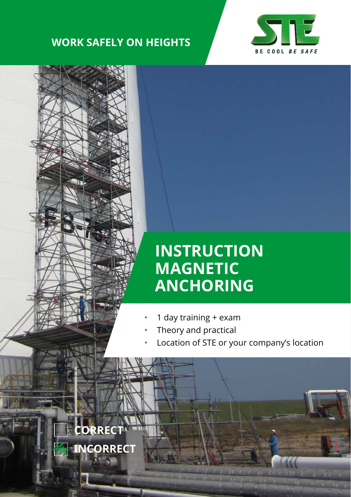## **WORK SAFELY ON HEIGHTS**





# **INSTRUCTION MAGNETIC ANCHORING**

- 1 day training + exam
- Theory and practical
- Location of STE or your company's location

**CORRECT INCORRECT** $\mathbf{F} = \mathbf{F}$